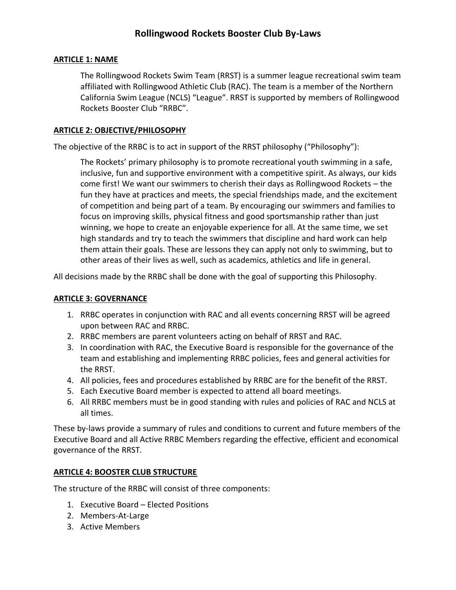### **ARTICLE 1: NAME**

The Rollingwood Rockets Swim Team (RRST) is a summer league recreational swim team affiliated with Rollingwood Athletic Club (RAC). The team is a member of the Northern California Swim League (NCLS) "League". RRST is supported by members of Rollingwood Rockets Booster Club "RRBC".

#### **ARTICLE 2: OBJECTIVE/PHILOSOPHY**

The objective of the RRBC is to act in support of the RRST philosophy ("Philosophy"):

The Rockets' primary philosophy is to promote recreational youth swimming in a safe, inclusive, fun and supportive environment with a competitive spirit. As always, our kids come first! We want our swimmers to cherish their days as Rollingwood Rockets – the fun they have at practices and meets, the special friendships made, and the excitement of competition and being part of a team. By encouraging our swimmers and families to focus on improving skills, physical fitness and good sportsmanship rather than just winning, we hope to create an enjoyable experience for all. At the same time, we set high standards and try to teach the swimmers that discipline and hard work can help them attain their goals. These are lessons they can apply not only to swimming, but to other areas of their lives as well, such as academics, athletics and life in general.

All decisions made by the RRBC shall be done with the goal of supporting this Philosophy.

#### **ARTICLE 3: GOVERNANCE**

- 1. RRBC operates in conjunction with RAC and all events concerning RRST will be agreed upon between RAC and RRBC.
- 2. RRBC members are parent volunteers acting on behalf of RRST and RAC.
- 3. In coordination with RAC, the Executive Board is responsible for the governance of the team and establishing and implementing RRBC policies, fees and general activities for the RRST.
- 4. All policies, fees and procedures established by RRBC are for the benefit of the RRST.
- 5. Each Executive Board member is expected to attend all board meetings.
- 6. All RRBC members must be in good standing with rules and policies of RAC and NCLS at all times.

These by-laws provide a summary of rules and conditions to current and future members of the Executive Board and all Active RRBC Members regarding the effective, efficient and economical governance of the RRST.

#### **ARTICLE 4: BOOSTER CLUB STRUCTURE**

The structure of the RRBC will consist of three components:

- 1. Executive Board Elected Positions
- 2. Members-At-Large
- 3. Active Members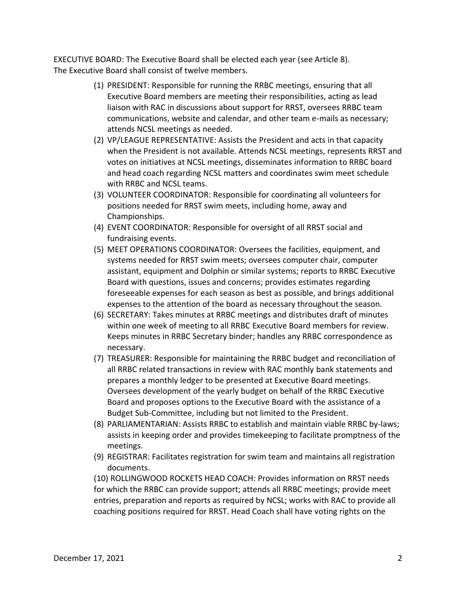EXECUTIVE BOARD: The Executive Board shall be elected each year (see Article 8). The Executive Board shall consist of twelve members.

- (1) PRESIDENT: Responsible for running the RRBC meetings, ensuring that all Executive Board members are meeting their responsibilities, acting as lead liaison with RAC in discussions about support for RRST, oversees RRBC team communications, website and calendar, and other team e-mails as necessary; attends NCSL meetings as needed.
- (2) VP/LEAGUE REPRESENTATIVE: Assists the President and acts in that capacity when the President is not available. Attends NCSL meetings, represents RRST and votes on initiatives at NCSL meetings, disseminates information to RRBC board and head coach regarding NCSL matters and coordinates swim meet schedule with RRBC and NCSL teams.
- (3) VOLUNTEER COORDINATOR: Responsible for coordinating all volunteers for positions needed for RRST swim meets, including home, away and Championships.
- (4) EVENT COORDINATOR: Responsible for oversight of all RRST social and fundraising events.
- (5) MEET OPERATIONS COORDINATOR: Oversees the facilities, equipment, and systems needed for RRST swim meets; oversees computer chair, computer assistant, equipment and Dolphin or similar systems; reports to RRBC Executive Board with questions, issues and concerns; provides estimates regarding foreseeable expenses for each season as best as possible, and brings additional expenses to the attention of the board as necessary throughout the season.
- (6) SECRETARY: Takes minutes at RRBC meetings and distributes draft of minutes within one week of meeting to all RRBC Executive Board members for review. Keeps minutes in RRBC Secretary binder; handles any RRBC correspondence as necessary.
- (7) TREASURER: Responsible for maintaining the RRBC budget and reconciliation of all RRBC related transactions in review with RAC monthly bank statements and prepares a monthly ledger to be presented at Executive Board meetings. Oversees development of the yearly budget on behalf of the RRBC Executive Board and proposes options to the Executive Board with the assistance of a Budget Sub-Committee, including but not limited to the President.
- (8) PARLIAMENTARIAN: Assists RRBC to establish and maintain viable RRBC by-laws; assists in keeping order and provides timekeeping to facilitate promptness of the meetings.
- (9) REGISTRAR: Facilitates registration for swim team and maintains all registration documents.

(10) ROLLINGWOOD ROCKETS HEAD COACH: Provides information on RRST needs for which the RRBC can provide support; attends all RRBC meetings; provide meet entries, preparation and reports as required by NCSL; works with RAC to provide all coaching positions required for RRST. Head Coach shall have voting rights on the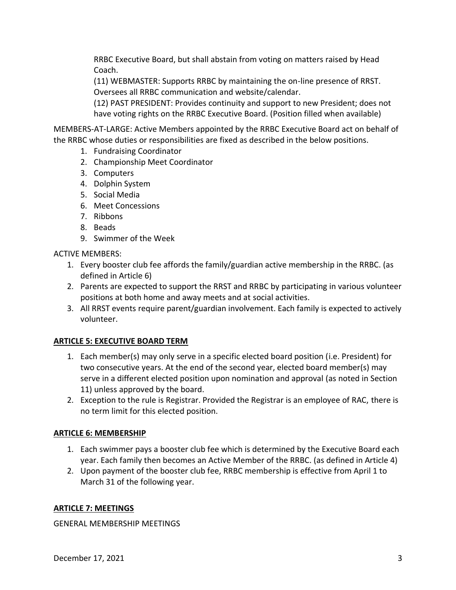RRBC Executive Board, but shall abstain from voting on matters raised by Head Coach.

(11) WEBMASTER: Supports RRBC by maintaining the on-line presence of RRST. Oversees all RRBC communication and website/calendar.

(12) PAST PRESIDENT: Provides continuity and support to new President; does not have voting rights on the RRBC Executive Board. (Position filled when available)

MEMBERS-AT-LARGE: Active Members appointed by the RRBC Executive Board act on behalf of the RRBC whose duties or responsibilities are fixed as described in the below positions.

- 1. Fundraising Coordinator
- 2. Championship Meet Coordinator
- 3. Computers
- 4. Dolphin System
- 5. Social Media
- 6. Meet Concessions
- 7. Ribbons
- 8. Beads
- 9. Swimmer of the Week

ACTIVE MEMBERS:

- 1. Every booster club fee affords the family/guardian active membership in the RRBC. (as defined in Article 6)
- 2. Parents are expected to support the RRST and RRBC by participating in various volunteer positions at both home and away meets and at social activities.
- 3. All RRST events require parent/guardian involvement. Each family is expected to actively volunteer.

# **ARTICLE 5: EXECUTIVE BOARD TERM**

- 1. Each member(s) may only serve in a specific elected board position (i.e. President) for two consecutive years. At the end of the second year, elected board member(s) may serve in a different elected position upon nomination and approval (as noted in Section 11) unless approved by the board.
- 2. Exception to the rule is Registrar. Provided the Registrar is an employee of RAC, there is no term limit for this elected position.

# **ARTICLE 6: MEMBERSHIP**

- 1. Each swimmer pays a booster club fee which is determined by the Executive Board each year. Each family then becomes an Active Member of the RRBC. (as defined in Article 4)
- 2. Upon payment of the booster club fee, RRBC membership is effective from April 1 to March 31 of the following year.

# **ARTICLE 7: MEETINGS**

GENERAL MEMBERSHIP MEETINGS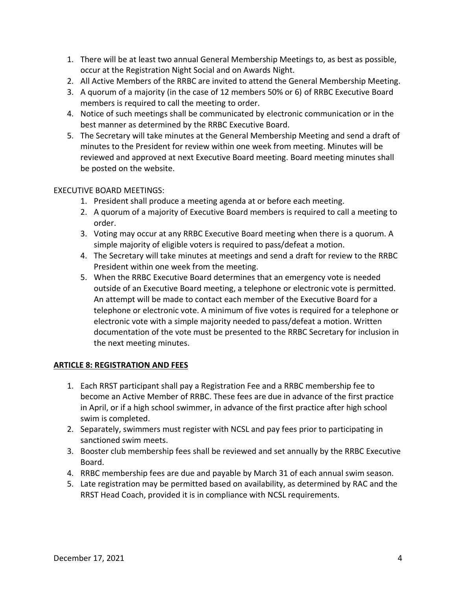- 1. There will be at least two annual General Membership Meetings to, as best as possible, occur at the Registration Night Social and on Awards Night.
- 2. All Active Members of the RRBC are invited to attend the General Membership Meeting.
- 3. A quorum of a majority (in the case of 12 members 50% or 6) of RRBC Executive Board members is required to call the meeting to order.
- 4. Notice of such meetings shall be communicated by electronic communication or in the best manner as determined by the RRBC Executive Board.
- 5. The Secretary will take minutes at the General Membership Meeting and send a draft of minutes to the President for review within one week from meeting. Minutes will be reviewed and approved at next Executive Board meeting. Board meeting minutes shall be posted on the website.

# EXECUTIVE BOARD MEETINGS:

- 1. President shall produce a meeting agenda at or before each meeting.
- 2. A quorum of a majority of Executive Board members is required to call a meeting to order.
- 3. Voting may occur at any RRBC Executive Board meeting when there is a quorum. A simple majority of eligible voters is required to pass/defeat a motion.
- 4. The Secretary will take minutes at meetings and send a draft for review to the RRBC President within one week from the meeting.
- 5. When the RRBC Executive Board determines that an emergency vote is needed outside of an Executive Board meeting, a telephone or electronic vote is permitted. An attempt will be made to contact each member of the Executive Board for a telephone or electronic vote. A minimum of five votes is required for a telephone or electronic vote with a simple majority needed to pass/defeat a motion. Written documentation of the vote must be presented to the RRBC Secretary for inclusion in the next meeting minutes.

# **ARTICLE 8: REGISTRATION AND FEES**

- 1. Each RRST participant shall pay a Registration Fee and a RRBC membership fee to become an Active Member of RRBC. These fees are due in advance of the first practice in April, or if a high school swimmer, in advance of the first practice after high school swim is completed.
- 2. Separately, swimmers must register with NCSL and pay fees prior to participating in sanctioned swim meets.
- 3. Booster club membership fees shall be reviewed and set annually by the RRBC Executive Board.
- 4. RRBC membership fees are due and payable by March 31 of each annual swim season.
- 5. Late registration may be permitted based on availability, as determined by RAC and the RRST Head Coach, provided it is in compliance with NCSL requirements.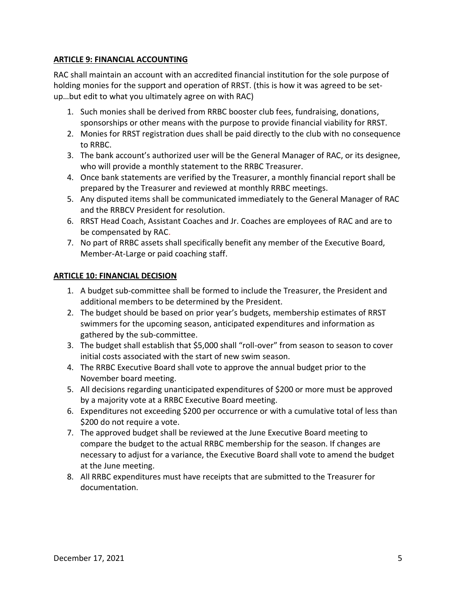# **ARTICLE 9: FINANCIAL ACCOUNTING**

RAC shall maintain an account with an accredited financial institution for the sole purpose of holding monies for the support and operation of RRST. (this is how it was agreed to be setup…but edit to what you ultimately agree on with RAC)

- 1. Such monies shall be derived from RRBC booster club fees, fundraising, donations, sponsorships or other means with the purpose to provide financial viability for RRST.
- 2. Monies for RRST registration dues shall be paid directly to the club with no consequence to RRBC.
- 3. The bank account's authorized user will be the General Manager of RAC, or its designee, who will provide a monthly statement to the RRBC Treasurer.
- 4. Once bank statements are verified by the Treasurer, a monthly financial report shall be prepared by the Treasurer and reviewed at monthly RRBC meetings.
- 5. Any disputed items shall be communicated immediately to the General Manager of RAC and the RRBCV President for resolution.
- 6. RRST Head Coach, Assistant Coaches and Jr. Coaches are employees of RAC and are to be compensated by RAC.
- 7. No part of RRBC assets shall specifically benefit any member of the Executive Board, Member-At-Large or paid coaching staff.

#### **ARTICLE 10: FINANCIAL DECISION**

- 1. A budget sub-committee shall be formed to include the Treasurer, the President and additional members to be determined by the President.
- 2. The budget should be based on prior year's budgets, membership estimates of RRST swimmers for the upcoming season, anticipated expenditures and information as gathered by the sub-committee.
- 3. The budget shall establish that \$5,000 shall "roll-over" from season to season to cover initial costs associated with the start of new swim season.
- 4. The RRBC Executive Board shall vote to approve the annual budget prior to the November board meeting.
- 5. All decisions regarding unanticipated expenditures of \$200 or more must be approved by a majority vote at a RRBC Executive Board meeting.
- 6. Expenditures not exceeding \$200 per occurrence or with a cumulative total of less than \$200 do not require a vote.
- 7. The approved budget shall be reviewed at the June Executive Board meeting to compare the budget to the actual RRBC membership for the season. If changes are necessary to adjust for a variance, the Executive Board shall vote to amend the budget at the June meeting.
- 8. All RRBC expenditures must have receipts that are submitted to the Treasurer for documentation.